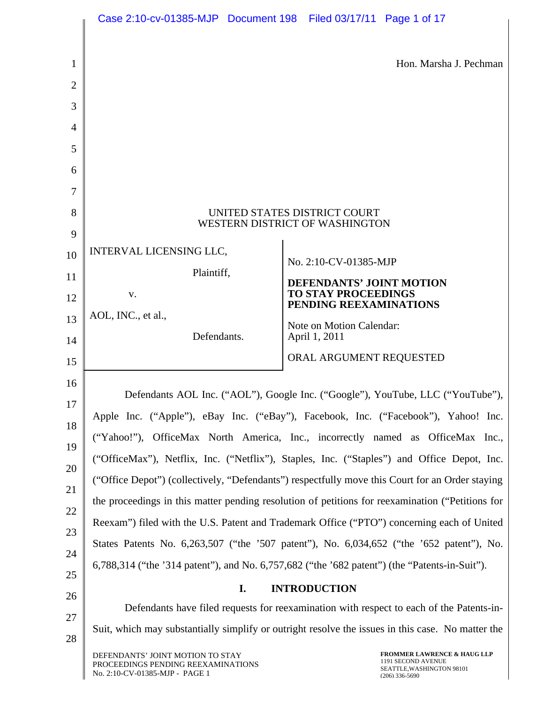|                | Case 2:10-cv-01385-MJP  Document 198  Filed 03/17/11  Page 1 of 17                                       |                                                                                                               |  |  |
|----------------|----------------------------------------------------------------------------------------------------------|---------------------------------------------------------------------------------------------------------------|--|--|
|                |                                                                                                          |                                                                                                               |  |  |
| 1              |                                                                                                          | Hon. Marsha J. Pechman                                                                                        |  |  |
| 2              |                                                                                                          |                                                                                                               |  |  |
| 3              |                                                                                                          |                                                                                                               |  |  |
| $\overline{4}$ |                                                                                                          |                                                                                                               |  |  |
| 5              |                                                                                                          |                                                                                                               |  |  |
| 6              |                                                                                                          |                                                                                                               |  |  |
| 7              |                                                                                                          |                                                                                                               |  |  |
| 8              | UNITED STATES DISTRICT COURT<br>WESTERN DISTRICT OF WASHINGTON                                           |                                                                                                               |  |  |
| 9              |                                                                                                          |                                                                                                               |  |  |
| 10             | INTERVAL LICENSING LLC,                                                                                  | No. 2:10-CV-01385-MJP                                                                                         |  |  |
| 11             | Plaintiff,                                                                                               | <b>DEFENDANTS' JOINT MOTION</b>                                                                               |  |  |
| 12             | V.                                                                                                       | <b>TO STAY PROCEEDINGS</b><br>PENDING REEXAMINATIONS                                                          |  |  |
| 13             | AOL, INC., et al.,                                                                                       | Note on Motion Calendar:                                                                                      |  |  |
| 14             | Defendants.                                                                                              | April 1, 2011                                                                                                 |  |  |
| 15             |                                                                                                          | ORAL ARGUMENT REQUESTED                                                                                       |  |  |
| 16             |                                                                                                          | Defendants AOL Inc. ("AOL"), Google Inc. ("Google"), YouTube, LLC ("YouTube"),                                |  |  |
| 17             | Apple Inc. ("Apple"), eBay Inc. ("eBay"), Facebook, Inc. ("Facebook"), Yahoo! Inc.                       |                                                                                                               |  |  |
| 18             | ("Yahoo!"), OfficeMax North America, Inc., incorrectly named as OfficeMax Inc.,                          |                                                                                                               |  |  |
| 19             | ("OfficeMax"), Netflix, Inc. ("Netflix"), Staples, Inc. ("Staples") and Office Depot, Inc.               |                                                                                                               |  |  |
| 20             |                                                                                                          | ("Office Depot") (collectively, "Defendants") respectfully move this Court for an Order staying               |  |  |
| 21             | the proceedings in this matter pending resolution of petitions for reexamination ("Petitions for         |                                                                                                               |  |  |
| 22<br>23       |                                                                                                          | Reexam") filed with the U.S. Patent and Trademark Office ("PTO") concerning each of United                    |  |  |
| 24             |                                                                                                          | States Patents No. 6,263,507 ("the '507 patent"), No. 6,034,652 ("the '652 patent"), No.                      |  |  |
| 25             |                                                                                                          | 6,788,314 ("the '314 patent"), and No. 6,757,682 ("the '682 patent") (the "Patents-in-Suit").                 |  |  |
| 26             | I.                                                                                                       | <b>INTRODUCTION</b>                                                                                           |  |  |
| 27             |                                                                                                          | Defendants have filed requests for reexamination with respect to each of the Patents-in-                      |  |  |
| 28             |                                                                                                          | Suit, which may substantially simplify or outright resolve the issues in this case. No matter the             |  |  |
|                | DEFENDANTS' JOINT MOTION TO STAY<br>PROCEEDINGS PENDING REEXAMINATIONS<br>No. 2:10-CV-01385-MJP - PAGE 1 | <b>FROMMER LAWRENCE &amp; HAUG LLP</b><br>1191 SECOND AVENUE<br>SEATTLE, WASHINGTON 98101<br>$(206)$ 336-5690 |  |  |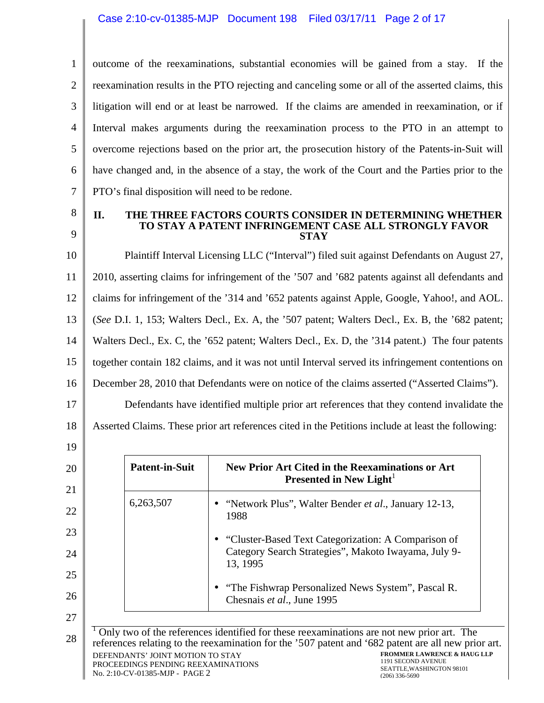1 2 3 4 5 6 7 outcome of the reexaminations, substantial economies will be gained from a stay. If the reexamination results in the PTO rejecting and canceling some or all of the asserted claims, this litigation will end or at least be narrowed. If the claims are amended in reexamination, or if Interval makes arguments during the reexamination process to the PTO in an attempt to overcome rejections based on the prior art, the prosecution history of the Patents-in-Suit will have changed and, in the absence of a stay, the work of the Court and the Parties prior to the PTO's final disposition will need to be redone.

8 9

#### **II. THE THREE FACTORS COURTS CONSIDER IN DETERMINING WHETHER TO STAY A PATENT INFRINGEMENT CASE ALL STRONGLY FAVOR STAY**

10 11 12 13 14 15 16 Plaintiff Interval Licensing LLC ("Interval") filed suit against Defendants on August 27, 2010, asserting claims for infringement of the '507 and '682 patents against all defendants and claims for infringement of the '314 and '652 patents against Apple, Google, Yahoo!, and AOL. (*See* D.I. 1, 153; Walters Decl., Ex. A, the '507 patent; Walters Decl., Ex. B, the '682 patent; Walters Decl., Ex. C, the '652 patent; Walters Decl., Ex. D, the '314 patent.) The four patents together contain 182 claims, and it was not until Interval served its infringement contentions on December 28, 2010 that Defendants were on notice of the claims asserted ("Asserted Claims").

Defendants have identified multiple prior art references that they contend invalidate the

18 Asserted Claims. These prior art references cited in the Petitions include at least the following:

19

17

| <b>Patent-in-Suit</b> | New Prior Art Cited in the Reexaminations or Art<br>Presented in New Light       |
|-----------------------|----------------------------------------------------------------------------------|
| 6,263,507             | "Network Plus", Walter Bender <i>et al.</i> , January 12-13,<br>1988             |
|                       | • "Cluster-Based Text Categorization: A Comparison of                            |
|                       | Category Search Strategies", Makoto Iwayama, July 9-<br>13, 1995                 |
|                       | "The Fishwrap Personalized News System", Pascal R.<br>Chesnais et al., June 1995 |

No. 2:10-CV-01385-MJP - PAGE 2

**FROMMER LAWRENCE & HAUG LLP**  SEATTLE,WASHINGTON 98101 (206) 336-5690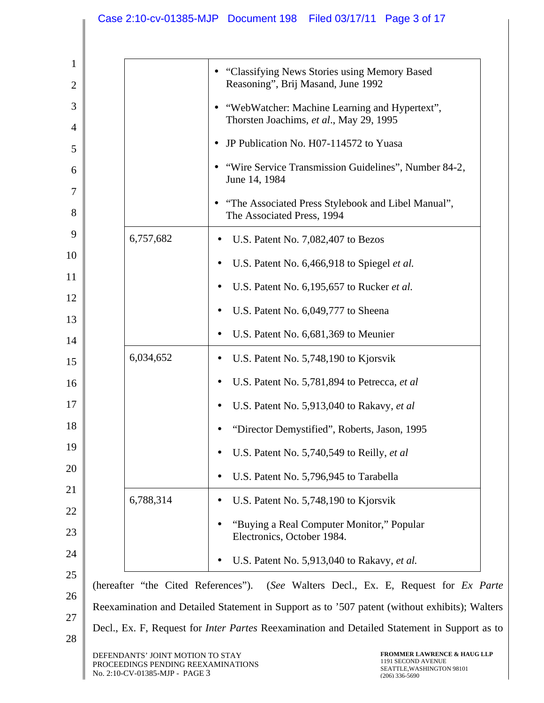|          |           | Case 2:10-cv-01385-MJP  Document 198  Filed 03/17/11  Page 3 of 17                       |
|----------|-----------|------------------------------------------------------------------------------------------|
| 1        |           | "Classifying News Stories using Memory Based                                             |
| 2        |           | Reasoning", Brij Masand, June 1992                                                       |
| 3        |           | "WebWatcher: Machine Learning and Hypertext",<br>Thorsten Joachims, et al., May 29, 1995 |
| 4<br>5   |           | JP Publication No. H07-114572 to Yuasa                                                   |
| 6        |           | "Wire Service Transmission Guidelines", Number 84-2,                                     |
| 7        |           | June 14, 1984                                                                            |
| 8        |           | "The Associated Press Stylebook and Libel Manual",<br>The Associated Press, 1994         |
| 9        | 6,757,682 | U.S. Patent No. 7,082,407 to Bezos                                                       |
| 10       |           | U.S. Patent No. 6,466,918 to Spiegel et al.                                              |
| 11       |           | U.S. Patent No. 6,195,657 to Rucker et al.                                               |
| 12       |           | U.S. Patent No. 6,049,777 to Sheena                                                      |
| 13       |           | U.S. Patent No. 6,681,369 to Meunier                                                     |
| 14<br>15 | 6,034,652 | U.S. Patent No. 5,748,190 to Kjorsvik                                                    |
| 16       |           | U.S. Patent No. 5,781,894 to Petrecca, et al.                                            |
|          |           |                                                                                          |
| $17\,$   |           | U.S. Patent No. 5,913,040 to Rakavy, et al.                                              |
| 18       |           | "Director Demystified", Roberts, Jason, 1995                                             |
| 19       |           | U.S. Patent No. 5,740,549 to Reilly, et al.                                              |
| 20       |           | U.S. Patent No. 5,796,945 to Tarabella                                                   |
| 21       | 6,788,314 | U.S. Patent No. 5,748,190 to Kjorsvik                                                    |
| 22       |           |                                                                                          |

• "Buying a Real Computer Monitor," Popular

• U.S. Patent No. 5,913,040 to Rakavy, *et al.*

Electronics, October 1984.

(hereafter "the Cited References"). (*See* Walters Decl., Ex. E, Request for *Ex Parte*

Reexamination and Detailed Statement in Support as to '507 patent (without exhibits); Walters

Decl., Ex. F, Request for *Inter Partes* Reexamination and Detailed Statement in Support as to

23 24

25

26

27 28

> DEFENDANTS' JOINT MOTION TO STAY PROCEEDINGS PENDING REEXAMINATIONS No. 2:10-CV-01385-MJP - PAGE 3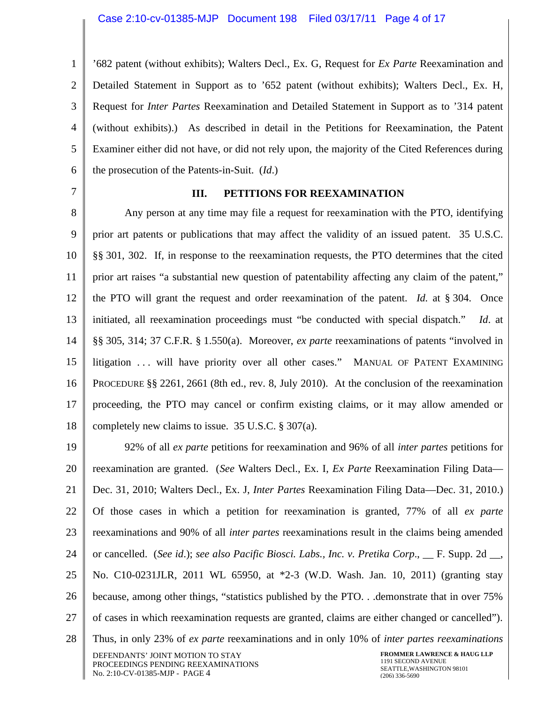1 2 3 4 5 6 '682 patent (without exhibits); Walters Decl., Ex. G, Request for *Ex Parte* Reexamination and Detailed Statement in Support as to '652 patent (without exhibits); Walters Decl., Ex. H, Request for *Inter Partes* Reexamination and Detailed Statement in Support as to '314 patent (without exhibits).) As described in detail in the Petitions for Reexamination, the Patent Examiner either did not have, or did not rely upon, the majority of the Cited References during the prosecution of the Patents-in-Suit. (*Id*.)

7

### **III. PETITIONS FOR REEXAMINATION**

8 9 10 11 12 13 14 15 16 17 18 Any person at any time may file a request for reexamination with the PTO, identifying prior art patents or publications that may affect the validity of an issued patent. 35 U.S.C. §§ 301, 302. If, in response to the reexamination requests, the PTO determines that the cited prior art raises "a substantial new question of patentability affecting any claim of the patent," the PTO will grant the request and order reexamination of the patent. *Id.* at § 304. Once initiated, all reexamination proceedings must "be conducted with special dispatch." *Id*. at §§ 305, 314; 37 C.F.R. § 1.550(a). Moreover, *ex parte* reexaminations of patents "involved in litigation . . . will have priority over all other cases." MANUAL OF PATENT EXAMINING PROCEDURE §§ 2261, 2661 (8th ed., rev. 8, July 2010). At the conclusion of the reexamination proceeding, the PTO may cancel or confirm existing claims, or it may allow amended or completely new claims to issue. 35 U.S.C. § 307(a).

19 20 21 22 23 24 25 26 27 28 DEFENDANTS' JOINT MOTION TO STAY **FROMMER LAWRENCE & HAUG LLP**  92% of all *ex parte* petitions for reexamination and 96% of all *inter partes* petitions for reexamination are granted. (*See* Walters Decl., Ex. I, *Ex Parte* Reexamination Filing Data— Dec. 31, 2010; Walters Decl., Ex. J, *Inter Partes* Reexamination Filing Data—Dec. 31, 2010.) Of those cases in which a petition for reexamination is granted, 77% of all *ex parte* reexaminations and 90% of all *inter partes* reexaminations result in the claims being amended or cancelled. (*See id*.); *see also Pacific Biosci. Labs., Inc. v. Pretika Corp*., \_\_ F. Supp. 2d \_\_, No. C10-0231JLR, 2011 WL 65950, at \*2-3 (W.D. Wash. Jan. 10, 2011) (granting stay because, among other things, "statistics published by the PTO. . .demonstrate that in over 75% of cases in which reexamination requests are granted, claims are either changed or cancelled"). Thus, in only 23% of *ex parte* reexaminations and in only 10% of *inter partes reexaminations*

PROCEEDINGS PENDING REEXAMINATIONS No. 2:10-CV-01385-MJP - PAGE 4

1191 SECOND AVENUE SEATTLE,WASHINGTON 98101 (206) 336-5690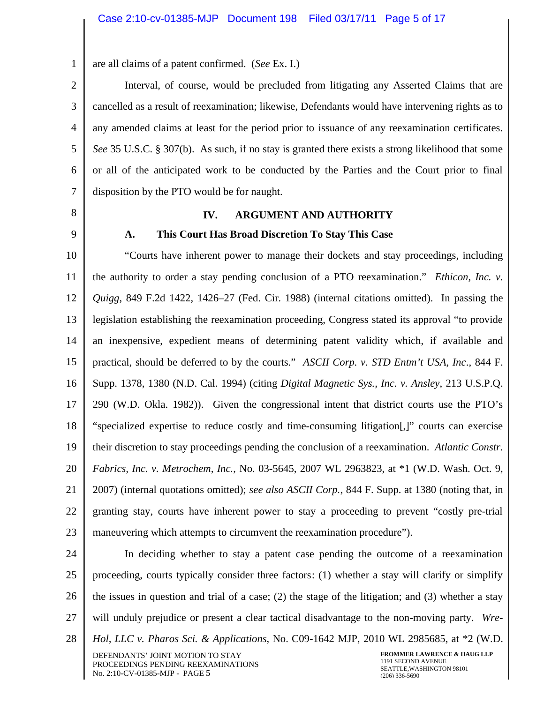are all claims of a patent confirmed. (*See* Ex. I.)

Interval, of course, would be precluded from litigating any Asserted Claims that are cancelled as a result of reexamination; likewise, Defendants would have intervening rights as to any amended claims at least for the period prior to issuance of any reexamination certificates. *See* 35 U.S.C. § 307(b). As such, if no stay is granted there exists a strong likelihood that some or all of the anticipated work to be conducted by the Parties and the Court prior to final disposition by the PTO would be for naught.

8

7

1

2

3

4

5

6

### **IV. ARGUMENT AND AUTHORITY**

9

# **A. This Court Has Broad Discretion To Stay This Case**

10 11 12 13 14 15 16 17 18 19 20 21 22 23 "Courts have inherent power to manage their dockets and stay proceedings, including the authority to order a stay pending conclusion of a PTO reexamination." *Ethicon, Inc. v. Quigg*, 849 F.2d 1422, 1426–27 (Fed. Cir. 1988) (internal citations omitted). In passing the legislation establishing the reexamination proceeding, Congress stated its approval "to provide an inexpensive, expedient means of determining patent validity which, if available and practical, should be deferred to by the courts." *ASCII Corp. v. STD Entm't USA, Inc*., 844 F. Supp. 1378, 1380 (N.D. Cal. 1994) (citing *Digital Magnetic Sys., Inc. v. Ansley*, 213 U.S.P.Q. 290 (W.D. Okla. 1982)). Given the congressional intent that district courts use the PTO's "specialized expertise to reduce costly and time-consuming litigation[,]" courts can exercise their discretion to stay proceedings pending the conclusion of a reexamination. *Atlantic Constr. Fabrics, Inc. v. Metrochem, Inc.*, No. 03-5645, 2007 WL 2963823, at \*1 (W.D. Wash. Oct. 9, 2007) (internal quotations omitted); *see also ASCII Corp.*, 844 F. Supp. at 1380 (noting that, in granting stay, courts have inherent power to stay a proceeding to prevent "costly pre-trial maneuvering which attempts to circumvent the reexamination procedure").

24 25 26 27 28 In deciding whether to stay a patent case pending the outcome of a reexamination proceeding, courts typically consider three factors: (1) whether a stay will clarify or simplify the issues in question and trial of a case; (2) the stage of the litigation; and (3) whether a stay will unduly prejudice or present a clear tactical disadvantage to the non-moving party. *Wre-Hol, LLC v. Pharos Sci. & Applications*, No. C09-1642 MJP, 2010 WL 2985685, at \*2 (W.D.

DEFENDANTS' JOINT MOTION TO STAY PROCEEDINGS PENDING REEXAMINATIONS No. 2:10-CV-01385-MJP - PAGE 5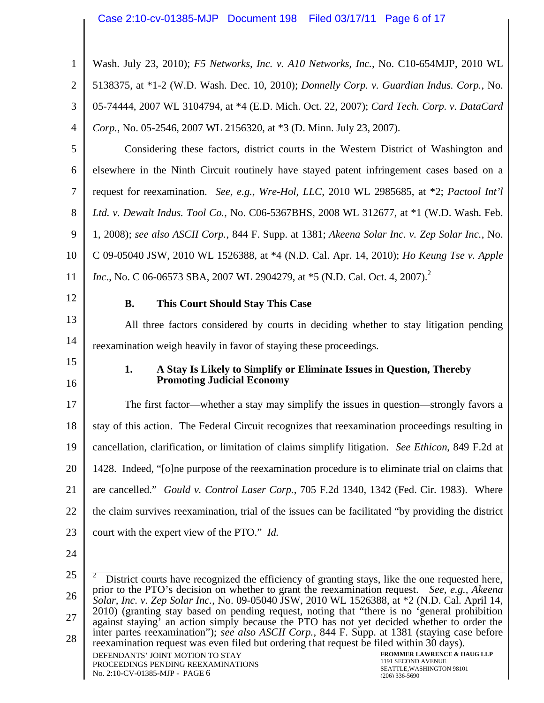# Case 2:10-cv-01385-MJP Document 198 Filed 03/17/11 Page 6 of 17

| $\mathbf{1}$               | Wash. July 23, 2010); F5 Networks, Inc. v. A10 Networks, Inc., No. C10-654MJP, 2010 WL                                                                                                       |
|----------------------------|----------------------------------------------------------------------------------------------------------------------------------------------------------------------------------------------|
| $\overline{2}$             | 5138375, at *1-2 (W.D. Wash. Dec. 10, 2010); <i>Donnelly Corp. v. Guardian Indus. Corp.</i> , No.                                                                                            |
| 3                          | 05-74444, 2007 WL 3104794, at *4 (E.D. Mich. Oct. 22, 2007); Card Tech. Corp. v. DataCard                                                                                                    |
| 4                          | Corp., No. 05-2546, 2007 WL 2156320, at *3 (D. Minn. July 23, 2007).                                                                                                                         |
| 5                          | Considering these factors, district courts in the Western District of Washington and                                                                                                         |
| 6                          | elsewhere in the Ninth Circuit routinely have stayed patent infringement cases based on a                                                                                                    |
| 7                          | request for reexamination. See, e.g., Wre-Hol, LLC, 2010 WL 2985685, at *2; Pactool Int'l                                                                                                    |
| 8                          | Ltd. v. Dewalt Indus. Tool Co., No. C06-5367BHS, 2008 WL 312677, at *1 (W.D. Wash. Feb.                                                                                                      |
| 9                          | 1, 2008); see also ASCII Corp., 844 F. Supp. at 1381; Akeena Solar Inc. v. Zep Solar Inc., No.                                                                                               |
| 10                         | C 09-05040 JSW, 2010 WL 1526388, at *4 (N.D. Cal. Apr. 14, 2010); <i>Ho Keung Tse v. Apple</i>                                                                                               |
| 11                         | <i>Inc.</i> , No. C 06-06573 SBA, 2007 WL 2904279, at *5 (N.D. Cal. Oct. 4, 2007). <sup>2</sup>                                                                                              |
| 12                         | <b>This Court Should Stay This Case</b><br><b>B.</b>                                                                                                                                         |
| 13                         | All three factors considered by courts in deciding whether to stay litigation pending                                                                                                        |
| 14                         | reexamination weigh heavily in favor of staying these proceedings.                                                                                                                           |
| 15                         |                                                                                                                                                                                              |
|                            |                                                                                                                                                                                              |
|                            | 1.<br>A Stay Is Likely to Simplify or Eliminate Issues in Question, Thereby<br><b>Promoting Judicial Economy</b>                                                                             |
| 16<br>17                   | The first factor—whether a stay may simplify the issues in question—strongly favors a                                                                                                        |
| 18                         | stay of this action. The Federal Circuit recognizes that reexamination proceedings resulting in                                                                                              |
| 19                         | cancellation, clarification, or limitation of claims simplify litigation. See Ethicon, 849 F.2d at                                                                                           |
|                            | 1428. Indeed, "[o]ne purpose of the reexamination procedure is to eliminate trial on claims that                                                                                             |
|                            | are cancelled." Gould v. Control Laser Corp., 705 F.2d 1340, 1342 (Fed. Cir. 1983). Where                                                                                                    |
|                            | the claim survives reexamination, trial of the issues can be facilitated "by providing the district"                                                                                         |
|                            | court with the expert view of the PTO." Id.                                                                                                                                                  |
| 20<br>21<br>22<br>23<br>24 |                                                                                                                                                                                              |
| 25                         | District courts have recognized the efficiency of granting stays, like the one requested here,                                                                                               |
| 26                         | prior to the PTO's decision on whether to grant the reexamination request. See, e.g., Akeena<br>Solar, Inc. v. Zep Solar Inc., No. 09-05040 JSW, 2010 WL 1526388, at *2 (N.D. Cal. April 14, |
| 27                         | 2010) (granting stay based on pending request, noting that "there is no 'general prohibition<br>against staying' an action simply because the PTO has not yet decided whether to order the   |
| 28                         | inter partes reexamination"); see also ASCII Corp., 844 F. Supp. at 1381 (staying case before<br>reexamination request was even filed but ordering that request be filed within 30 days).    |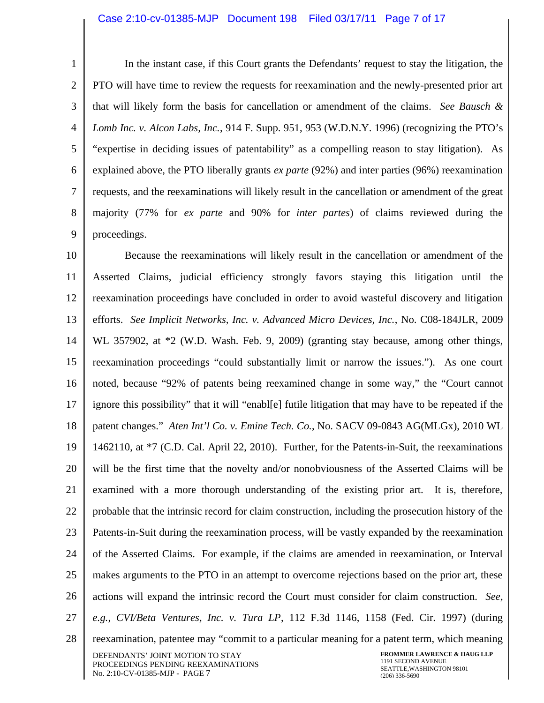### Case 2:10-cv-01385-MJP Document 198 Filed 03/17/11 Page 7 of 17

1

2

3

4

5

6

7

In the instant case, if this Court grants the Defendants' request to stay the litigation, the PTO will have time to review the requests for reexamination and the newly-presented prior art that will likely form the basis for cancellation or amendment of the claims. *See Bausch & Lomb Inc. v. Alcon Labs, Inc.*, 914 F. Supp. 951, 953 (W.D.N.Y. 1996) (recognizing the PTO's "expertise in deciding issues of patentability" as a compelling reason to stay litigation). As explained above, the PTO liberally grants *ex parte* (92%) and inter parties (96%) reexamination requests, and the reexaminations will likely result in the cancellation or amendment of the great

8 9 majority (77% for *ex parte* and 90% for *inter partes*) of claims reviewed during the proceedings.

10 11 12 13 14 15 16 17 18 19 20 21 22 23 24 25 26 27 28 Because the reexaminations will likely result in the cancellation or amendment of the Asserted Claims, judicial efficiency strongly favors staying this litigation until the reexamination proceedings have concluded in order to avoid wasteful discovery and litigation efforts. *See Implicit Networks, Inc. v. Advanced Micro Devices, Inc.*, No. C08-184JLR, 2009 WL 357902, at \*2 (W.D. Wash. Feb. 9, 2009) (granting stay because, among other things, reexamination proceedings "could substantially limit or narrow the issues."). As one court noted, because "92% of patents being reexamined change in some way," the "Court cannot ignore this possibility" that it will "enabl[e] futile litigation that may have to be repeated if the patent changes." *Aten Int'l Co. v. Emine Tech. Co.*, No. SACV 09-0843 AG(MLGx), 2010 WL 1462110, at \*7 (C.D. Cal. April 22, 2010). Further, for the Patents-in-Suit, the reexaminations will be the first time that the novelty and/or nonobviousness of the Asserted Claims will be examined with a more thorough understanding of the existing prior art. It is, therefore, probable that the intrinsic record for claim construction, including the prosecution history of the Patents-in-Suit during the reexamination process, will be vastly expanded by the reexamination of the Asserted Claims. For example, if the claims are amended in reexamination, or Interval makes arguments to the PTO in an attempt to overcome rejections based on the prior art, these actions will expand the intrinsic record the Court must consider for claim construction. *See, e.g.*, *CVI/Beta Ventures, Inc. v. Tura LP*, 112 F.3d 1146, 1158 (Fed. Cir. 1997) (during reexamination, patentee may "commit to a particular meaning for a patent term, which meaning

DEFENDANTS' JOINT MOTION TO STAY PROCEEDINGS PENDING REEXAMINATIONS No. 2:10-CV-01385-MJP - PAGE 7

**FROMMER LAWRENCE & HAUG LLP**  1191 SECOND AVENUE SEATTLE,WASHINGTON 98101 (206) 336-5690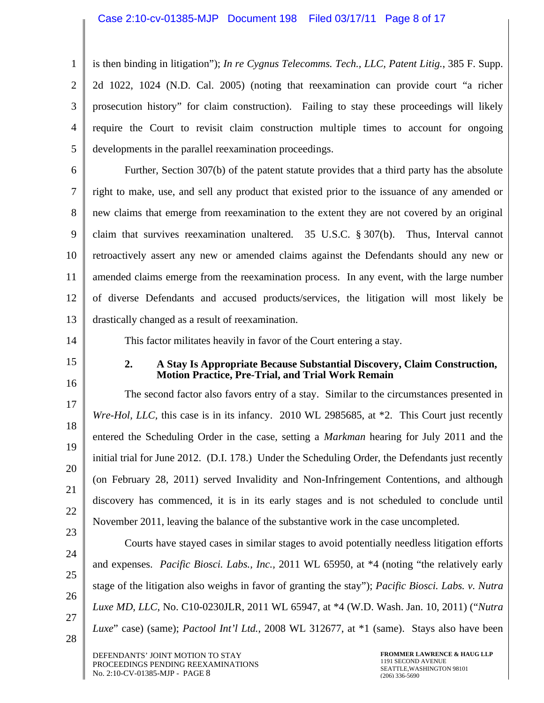1 2 3 4 5 is then binding in litigation"); *In re Cygnus Telecomms. Tech., LLC, Patent Litig.*, 385 F. Supp. 2d 1022, 1024 (N.D. Cal. 2005) (noting that reexamination can provide court "a richer prosecution history" for claim construction). Failing to stay these proceedings will likely require the Court to revisit claim construction multiple times to account for ongoing developments in the parallel reexamination proceedings.

6 7 8 9 10 11 12 13 Further, Section 307(b) of the patent statute provides that a third party has the absolute right to make, use, and sell any product that existed prior to the issuance of any amended or new claims that emerge from reexamination to the extent they are not covered by an original claim that survives reexamination unaltered. 35 U.S.C. § 307(b). Thus, Interval cannot retroactively assert any new or amended claims against the Defendants should any new or amended claims emerge from the reexamination process. In any event, with the large number of diverse Defendants and accused products/services, the litigation will most likely be drastically changed as a result of reexamination.

- 14
- 15

16

# This factor militates heavily in favor of the Court entering a stay.

# **2. A Stay Is Appropriate Because Substantial Discovery, Claim Construction, Motion Practice, Pre-Trial, and Trial Work Remain**

Courts have stayed cases in similar stages to avoid potentially needless litigation efforts

and expenses. *Pacific Biosci. Labs., Inc.,* 2011 WL 65950, at \*4 (noting "the relatively early

stage of the litigation also weighs in favor of granting the stay"); *Pacific Biosci. Labs. v. Nutra* 

*Luxe MD, LLC*, No. C10-0230JLR, 2011 WL 65947, at \*4 (W.D. Wash. Jan. 10, 2011) ("*Nutra* 

*Luxe*" case) (same); *Pactool Int'l Ltd.*, 2008 WL 312677, at \*1 (same). Stays also have been

17 18 19 20 21 22 The second factor also favors entry of a stay. Similar to the circumstances presented in *Wre-Hol, LLC,* this case is in its infancy. 2010 WL 2985685, at \*2. This Court just recently entered the Scheduling Order in the case, setting a *Markman* hearing for July 2011 and the initial trial for June 2012. (D.I. 178.) Under the Scheduling Order, the Defendants just recently (on February 28, 2011) served Invalidity and Non-Infringement Contentions, and although discovery has commenced, it is in its early stages and is not scheduled to conclude until November 2011, leaving the balance of the substantive work in the case uncompleted.

23 24

25

26

27

28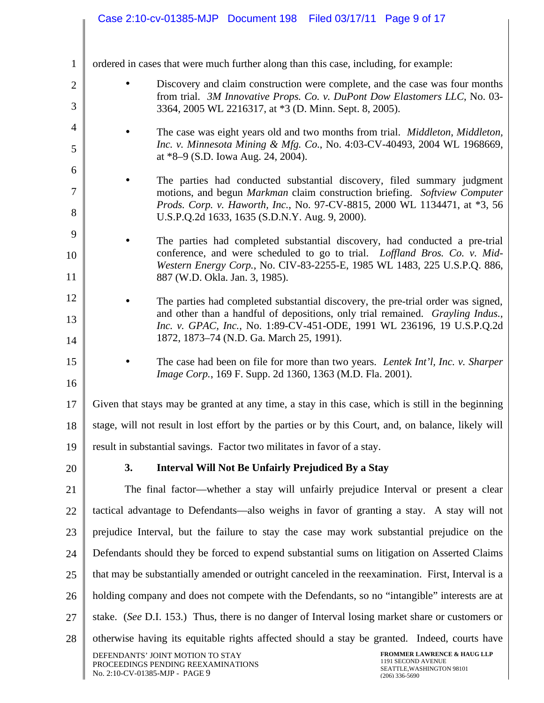|                | Case 2:10-cv-01385-MJP Document 198 Filed 03/17/11 Page 9 of 17                                                                                                                                                           |  |  |  |  |
|----------------|---------------------------------------------------------------------------------------------------------------------------------------------------------------------------------------------------------------------------|--|--|--|--|
|                |                                                                                                                                                                                                                           |  |  |  |  |
| $\mathbf{1}$   | ordered in cases that were much further along than this case, including, for example:                                                                                                                                     |  |  |  |  |
| $\overline{2}$ | Discovery and claim construction were complete, and the case was four months                                                                                                                                              |  |  |  |  |
| 3              | from trial. 3M Innovative Props. Co. v. DuPont Dow Elastomers LLC, No. 03-<br>3364, 2005 WL 2216317, at *3 (D. Minn. Sept. 8, 2005).                                                                                      |  |  |  |  |
| $\overline{4}$ | The case was eight years old and two months from trial. <i>Middleton</i> , <i>Middleton</i> ,                                                                                                                             |  |  |  |  |
| 5              | Inc. v. Minnesota Mining & Mfg. Co., No. 4:03-CV-40493, 2004 WL 1968669,<br>at *8-9 (S.D. Iowa Aug. 24, 2004).                                                                                                            |  |  |  |  |
| 6              | The parties had conducted substantial discovery, filed summary judgment                                                                                                                                                   |  |  |  |  |
| $\tau$<br>8    | motions, and begun Markman claim construction briefing. Softview Computer<br>Prods. Corp. v. Haworth, Inc., No. 97-CV-8815, 2000 WL 1134471, at *3, 56<br>U.S.P.Q.2d 1633, 1635 (S.D.N.Y. Aug. 9, 2000).                  |  |  |  |  |
| 9              |                                                                                                                                                                                                                           |  |  |  |  |
| 10             | The parties had completed substantial discovery, had conducted a pre-trial<br>conference, and were scheduled to go to trial. Loffland Bros. Co. v. Mid-                                                                   |  |  |  |  |
| 11             | Western Energy Corp., No. CIV-83-2255-E, 1985 WL 1483, 225 U.S.P.Q. 886,<br>887 (W.D. Okla. Jan. 3, 1985).                                                                                                                |  |  |  |  |
| 12             | The parties had completed substantial discovery, the pre-trial order was signed,                                                                                                                                          |  |  |  |  |
| 13             | and other than a handful of depositions, only trial remained. Grayling Indus.,<br>Inc. v. GPAC, Inc., No. 1:89-CV-451-ODE, 1991 WL 236196, 19 U.S.P.Q.2d                                                                  |  |  |  |  |
| 14             | 1872, 1873–74 (N.D. Ga. March 25, 1991).                                                                                                                                                                                  |  |  |  |  |
| 15             | The case had been on file for more than two years. Lentek Int'l, Inc. v. Sharper<br><i>Image Corp.</i> , 169 F. Supp. 2d 1360, 1363 (M.D. Fla. 2001).                                                                     |  |  |  |  |
| 16<br>17       | Given that stays may be granted at any time, a stay in this case, which is still in the beginning                                                                                                                         |  |  |  |  |
| 18             | stage, will not result in lost effort by the parties or by this Court, and, on balance, likely will                                                                                                                       |  |  |  |  |
| 19             | result in substantial savings. Factor two militates in favor of a stay.                                                                                                                                                   |  |  |  |  |
| 20             | 3.<br><b>Interval Will Not Be Unfairly Prejudiced By a Stay</b>                                                                                                                                                           |  |  |  |  |
| 21             | The final factor-whether a stay will unfairly prejudice Interval or present a clear                                                                                                                                       |  |  |  |  |
| 22             | tactical advantage to Defendants-also weighs in favor of granting a stay. A stay will not                                                                                                                                 |  |  |  |  |
| 23             | prejudice Interval, but the failure to stay the case may work substantial prejudice on the                                                                                                                                |  |  |  |  |
| 24             | Defendants should they be forced to expend substantial sums on litigation on Asserted Claims                                                                                                                              |  |  |  |  |
| 25             | that may be substantially amended or outright canceled in the reexamination. First, Interval is a                                                                                                                         |  |  |  |  |
| 26             | holding company and does not compete with the Defendants, so no "intangible" interests are at                                                                                                                             |  |  |  |  |
| 27             | stake. (See D.I. 153.) Thus, there is no danger of Interval losing market share or customers or                                                                                                                           |  |  |  |  |
| 28             | otherwise having its equitable rights affected should a stay be granted. Indeed, courts have                                                                                                                              |  |  |  |  |
|                | <b>FROMMER LAWRENCE &amp; HAUG LLP</b><br>DEFENDANTS' JOINT MOTION TO STAY<br>1191 SECOND AVENUE<br>PROCEEDINGS PENDING REEXAMINATIONS<br>SEATTLE, WASHINGTON 98101<br>No. 2:10-CV-01385-MJP - PAGE 9<br>$(206)$ 336-5690 |  |  |  |  |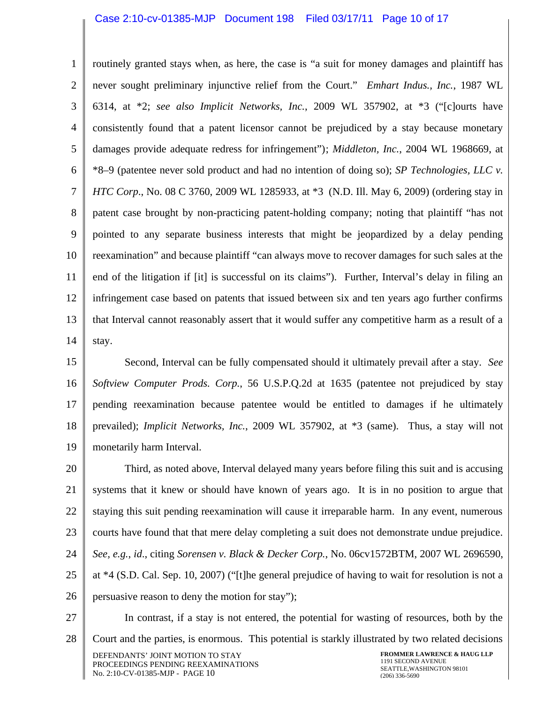1 2 3 4 5 6 7 8 9 10 11 12 13 14 routinely granted stays when, as here, the case is "a suit for money damages and plaintiff has never sought preliminary injunctive relief from the Court." *Emhart Indus., Inc.*, 1987 WL 6314, at \*2; *see also Implicit Networks, Inc.*, 2009 WL 357902, at \*3 ("[c]ourts have consistently found that a patent licensor cannot be prejudiced by a stay because monetary damages provide adequate redress for infringement"); *Middleton, Inc.*, 2004 WL 1968669, at \*8–9 (patentee never sold product and had no intention of doing so); *SP Technologies, LLC v. HTC Corp*., No. 08 C 3760, 2009 WL 1285933, at \*3 (N.D. Ill. May 6, 2009) (ordering stay in patent case brought by non-practicing patent-holding company; noting that plaintiff "has not pointed to any separate business interests that might be jeopardized by a delay pending reexamination" and because plaintiff "can always move to recover damages for such sales at the end of the litigation if [it] is successful on its claims"). Further, Interval's delay in filing an infringement case based on patents that issued between six and ten years ago further confirms that Interval cannot reasonably assert that it would suffer any competitive harm as a result of a stay.

15 16 17 18 19 Second, Interval can be fully compensated should it ultimately prevail after a stay. *See Softview Computer Prods. Corp.*, 56 U.S.P.Q.2d at 1635 (patentee not prejudiced by stay pending reexamination because patentee would be entitled to damages if he ultimately prevailed); *Implicit Networks, Inc.*, 2009 WL 357902, at \*3 (same). Thus, a stay will not monetarily harm Interval.

20 21 22 23 24 25 26 Third, as noted above, Interval delayed many years before filing this suit and is accusing systems that it knew or should have known of years ago. It is in no position to argue that staying this suit pending reexamination will cause it irreparable harm. In any event, numerous courts have found that that mere delay completing a suit does not demonstrate undue prejudice. *See, e.g.*, *id*., citing *Sorensen v. Black & Decker Corp.*, No. 06cv1572BTM, 2007 WL 2696590, at \*4 (S.D. Cal. Sep. 10, 2007) ("[t]he general prejudice of having to wait for resolution is not a persuasive reason to deny the motion for stay");

27

28

In contrast, if a stay is not entered, the potential for wasting of resources, both by the Court and the parties, is enormous. This potential is starkly illustrated by two related decisions

DEFENDANTS' JOINT MOTION TO STAY PROCEEDINGS PENDING REEXAMINATIONS No. 2:10-CV-01385-MJP - PAGE 10

**FROMMER LAWRENCE & HAUG LLP**  1191 SECOND AVENUE SEATTLE,WASHINGTON 98101 (206) 336-5690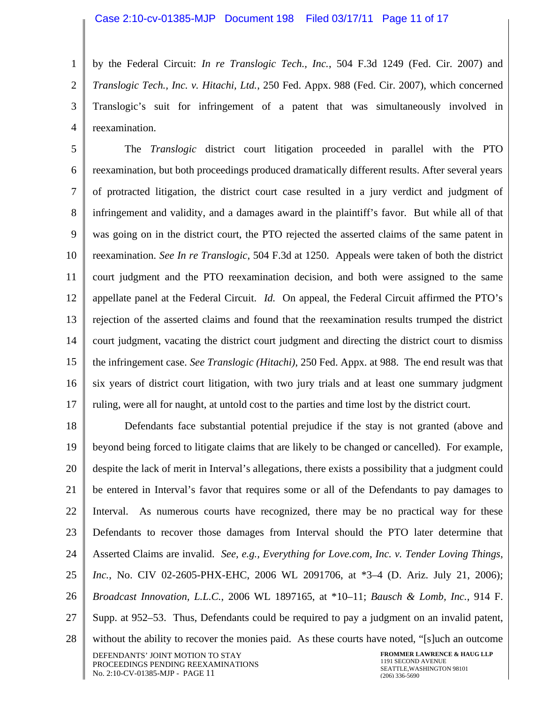1 2 3 4 by the Federal Circuit: *In re Translogic Tech., Inc.*, 504 F.3d 1249 (Fed. Cir. 2007) and *Translogic Tech., Inc. v. Hitachi, Ltd.*, 250 Fed. Appx. 988 (Fed. Cir. 2007), which concerned Translogic's suit for infringement of a patent that was simultaneously involved in reexamination.

5 6 7 8 9 10 11 12 13 14 15 16 17 The *Translogic* district court litigation proceeded in parallel with the PTO reexamination, but both proceedings produced dramatically different results. After several years of protracted litigation, the district court case resulted in a jury verdict and judgment of infringement and validity, and a damages award in the plaintiff's favor. But while all of that was going on in the district court, the PTO rejected the asserted claims of the same patent in reexamination. *See In re Translogic*, 504 F.3d at 1250. Appeals were taken of both the district court judgment and the PTO reexamination decision, and both were assigned to the same appellate panel at the Federal Circuit. *Id.* On appeal, the Federal Circuit affirmed the PTO's rejection of the asserted claims and found that the reexamination results trumped the district court judgment, vacating the district court judgment and directing the district court to dismiss the infringement case. *See Translogic (Hitachi)*, 250 Fed. Appx. at 988. The end result was that six years of district court litigation, with two jury trials and at least one summary judgment ruling, were all for naught, at untold cost to the parties and time lost by the district court.

18 19 20 21 22 23 24 25 26 27 28 Defendants face substantial potential prejudice if the stay is not granted (above and beyond being forced to litigate claims that are likely to be changed or cancelled). For example, despite the lack of merit in Interval's allegations, there exists a possibility that a judgment could be entered in Interval's favor that requires some or all of the Defendants to pay damages to Interval. As numerous courts have recognized, there may be no practical way for these Defendants to recover those damages from Interval should the PTO later determine that Asserted Claims are invalid. *See, e.g., Everything for Love.com, Inc. v. Tender Loving Things, Inc.*, No. CIV 02-2605-PHX-EHC, 2006 WL 2091706, at \*3–4 (D. Ariz. July 21, 2006); *Broadcast Innovation, L.L.C.*, 2006 WL 1897165, at \*10–11; *Bausch & Lomb, Inc.*, 914 F. Supp. at 952–53. Thus, Defendants could be required to pay a judgment on an invalid patent, without the ability to recover the monies paid. As these courts have noted, "[s]uch an outcome

DEFENDANTS' JOINT MOTION TO STAY PROCEEDINGS PENDING REEXAMINATIONS No. 2:10-CV-01385-MJP - PAGE 11

**FROMMER LAWRENCE & HAUG LLP**  1191 SECOND AVENUE SEATTLE,WASHINGTON 98101 (206) 336-5690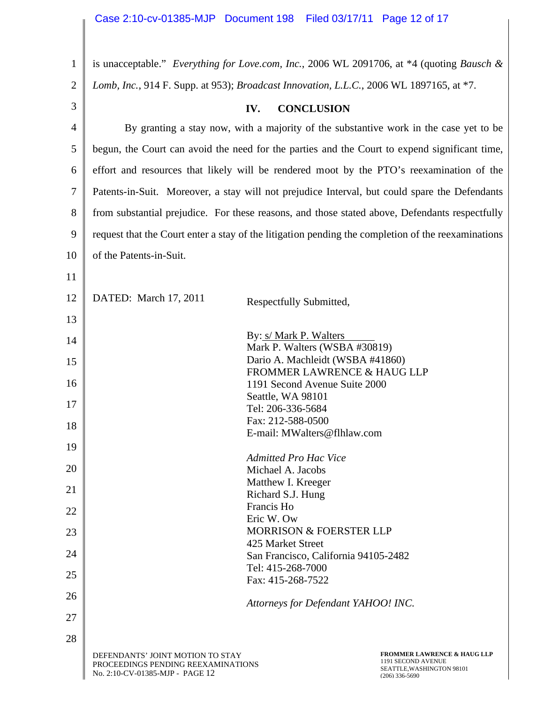# Case 2:10-cv-01385-MJP Document 198 Filed 03/17/11 Page 12 of 17

1 2 3 4 5 6 7 8 9 10 11 12 13 14 15 16 17 18 19 20 21 22 23 24 25 26 27 28 DEFENDANTS' JOINT MOTION TO STAY PROCEEDINGS PENDING REEXAMINATIONS No. 2:10-CV-01385-MJP - PAGE 12 **FROMMER LAWRENCE & HAUG LLP**  1191 SECOND AVENUE SEATTLE,WASHINGTON 98101 (206) 336-5690 is unacceptable." *Everything for Love.com, Inc.*, 2006 WL 2091706, at \*4 (quoting *Bausch & Lomb, Inc.*, 914 F. Supp. at 953); *Broadcast Innovation, L.L.C.*, 2006 WL 1897165, at \*7. **IV. CONCLUSION**  By granting a stay now, with a majority of the substantive work in the case yet to be begun, the Court can avoid the need for the parties and the Court to expend significant time, effort and resources that likely will be rendered moot by the PTO's reexamination of the Patents-in-Suit. Moreover, a stay will not prejudice Interval, but could spare the Defendants from substantial prejudice. For these reasons, and those stated above, Defendants respectfully request that the Court enter a stay of the litigation pending the completion of the reexaminations of the Patents-in-Suit. DATED: March 17, 2011 Respectfully Submitted, By: s/ Mark P. Walters Mark P. Walters (WSBA #30819) Dario A. Machleidt (WSBA #41860) FROMMER LAWRENCE & HAUG LLP 1191 Second Avenue Suite 2000 Seattle, WA 98101 Tel: 206-336-5684 Fax: 212-588-0500 E-mail: MWalters@flhlaw.com *Admitted Pro Hac Vice*  Michael A. Jacobs Matthew I. Kreeger Richard S.J. Hung Francis Ho Eric W. Ow MORRISON & FOERSTER LLP 425 Market Street San Francisco, California 94105-2482 Tel: 415-268-7000 Fax: 415-268-7522 *Attorneys for Defendant YAHOO! INC.*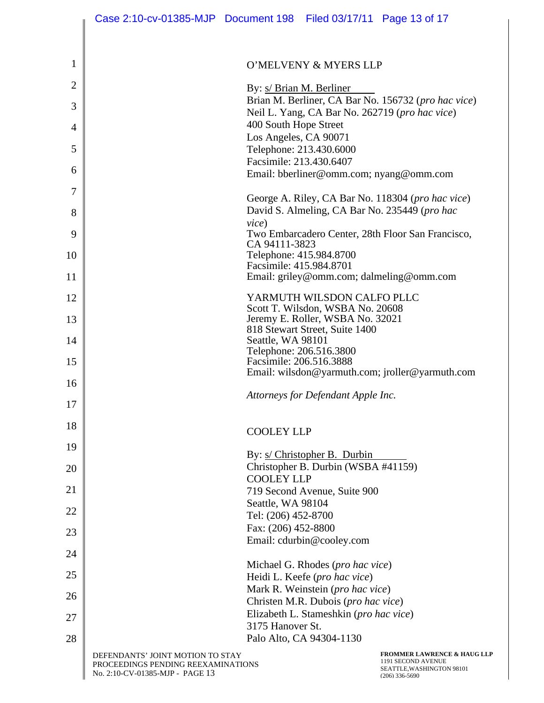|                | Case 2:10-cv-01385-MJP  Document 198  Filed 03/17/11  Page 13 of 17                                       |                                                |                                                                               |                                                                                                               |
|----------------|-----------------------------------------------------------------------------------------------------------|------------------------------------------------|-------------------------------------------------------------------------------|---------------------------------------------------------------------------------------------------------------|
|                |                                                                                                           |                                                |                                                                               |                                                                                                               |
| 1              |                                                                                                           |                                                | O'MELVENY & MYERS LLP                                                         |                                                                                                               |
| $\overline{2}$ |                                                                                                           | By: <i>s/ Brian M. Berliner</i>                |                                                                               |                                                                                                               |
| 3              |                                                                                                           |                                                |                                                                               | Brian M. Berliner, CA Bar No. 156732 (pro hac vice)<br>Neil L. Yang, CA Bar No. 262719 (pro hac vice)         |
| 4              |                                                                                                           | 400 South Hope Street<br>Los Angeles, CA 90071 |                                                                               |                                                                                                               |
| 5              |                                                                                                           |                                                | Telephone: 213.430.6000                                                       |                                                                                                               |
| 6              |                                                                                                           | Facsimile: 213.430.6407                        |                                                                               | Email: bberliner@omm.com; nyang@omm.com                                                                       |
| 7              |                                                                                                           |                                                |                                                                               | George A. Riley, CA Bar No. 118304 (pro hac vice)                                                             |
| 8              |                                                                                                           | vice)                                          |                                                                               | David S. Almeling, CA Bar No. 235449 (pro hac                                                                 |
| 9              |                                                                                                           |                                                |                                                                               | Two Embarcadero Center, 28th Floor San Francisco,                                                             |
| 10             |                                                                                                           | CA 94111-3823                                  | Telephone: 415.984.8700                                                       |                                                                                                               |
| 11             |                                                                                                           | Facsimile: 415.984.8701                        |                                                                               | Email: griley@omm.com; dalmeling@omm.com                                                                      |
| 12             |                                                                                                           |                                                | YARMUTH WILSDON CALFO PLLC                                                    |                                                                                                               |
| 13             |                                                                                                           |                                                | Scott T. Wilsdon, WSBA No. 20608<br>Jeremy E. Roller, WSBA No. 32021          |                                                                                                               |
| 14             |                                                                                                           | Seattle, WA 98101                              | 818 Stewart Street, Suite 1400                                                |                                                                                                               |
| 15             |                                                                                                           | Facsimile: 206.516.3888                        | Telephone: 206.516.3800                                                       |                                                                                                               |
| 16             |                                                                                                           |                                                |                                                                               | Email: wilsdon@yarmuth.com; jroller@yarmuth.com                                                               |
| 17             |                                                                                                           |                                                | Attorneys for Defendant Apple Inc.                                            |                                                                                                               |
| 18             |                                                                                                           | <b>COOLEY LLP</b>                              |                                                                               |                                                                                                               |
| 19             |                                                                                                           |                                                |                                                                               |                                                                                                               |
| 20             |                                                                                                           |                                                | By: s/ Christopher B. Durbin<br>Christopher B. Durbin (WSBA #41159)           |                                                                                                               |
| 21             |                                                                                                           | <b>COOLEY LLP</b>                              | 719 Second Avenue, Suite 900                                                  |                                                                                                               |
| 22             |                                                                                                           | Seattle, WA 98104<br>Tel: (206) 452-8700       |                                                                               |                                                                                                               |
| 23             |                                                                                                           | Fax: (206) 452-8800                            |                                                                               |                                                                                                               |
| 24             |                                                                                                           |                                                | Email: cdurbin@cooley.com                                                     |                                                                                                               |
| 25             |                                                                                                           |                                                | Michael G. Rhodes (pro hac vice)<br>Heidi L. Keefe (pro hac vice)             |                                                                                                               |
| 26             |                                                                                                           |                                                | Mark R. Weinstein (pro hac vice)                                              |                                                                                                               |
| 27             |                                                                                                           |                                                | Christen M.R. Dubois (pro hac vice)<br>Elizabeth L. Stameshkin (pro hac vice) |                                                                                                               |
| 28             |                                                                                                           | 3175 Hanover St.                               | Palo Alto, CA 94304-1130                                                      |                                                                                                               |
|                | DEFENDANTS' JOINT MOTION TO STAY<br>PROCEEDINGS PENDING REEXAMINATIONS<br>No. 2:10-CV-01385-MJP - PAGE 13 |                                                |                                                                               | <b>FROMMER LAWRENCE &amp; HAUG LLP</b><br>1191 SECOND AVENUE<br>SEATTLE, WASHINGTON 98101<br>$(206)$ 336-5690 |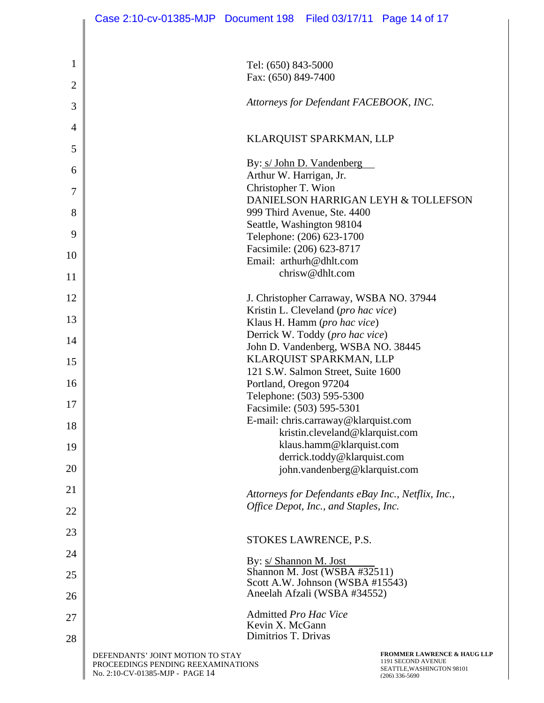|                | Case 2:10-cv-01385-MJP  Document 198  Filed 03/17/11  Page 14 of 17                                       |                                        |                                                                       |                                                                                                               |
|----------------|-----------------------------------------------------------------------------------------------------------|----------------------------------------|-----------------------------------------------------------------------|---------------------------------------------------------------------------------------------------------------|
|                |                                                                                                           |                                        |                                                                       |                                                                                                               |
| 1              |                                                                                                           | Tel: (650) 843-5000                    |                                                                       |                                                                                                               |
| $\overline{2}$ |                                                                                                           | Fax: (650) 849-7400                    |                                                                       |                                                                                                               |
| 3              | Attorneys for Defendant FACEBOOK, INC.                                                                    |                                        |                                                                       |                                                                                                               |
| 4              |                                                                                                           |                                        |                                                                       |                                                                                                               |
| 5              |                                                                                                           |                                        | KLARQUIST SPARKMAN, LLP                                               |                                                                                                               |
|                |                                                                                                           |                                        |                                                                       |                                                                                                               |
| 6              | By: s/ John D. Vandenberg<br>Arthur W. Harrigan, Jr.                                                      |                                        |                                                                       |                                                                                                               |
| 7              |                                                                                                           | Christopher T. Wion                    |                                                                       |                                                                                                               |
|                |                                                                                                           |                                        |                                                                       | DANIELSON HARRIGAN LEYH & TOLLEFSON                                                                           |
| 8              |                                                                                                           |                                        | 999 Third Avenue, Ste. 4400                                           |                                                                                                               |
| 9              |                                                                                                           |                                        | Seattle, Washington 98104<br>Telephone: (206) 623-1700                |                                                                                                               |
|                |                                                                                                           |                                        | Facsimile: (206) 623-8717                                             |                                                                                                               |
| 10             |                                                                                                           |                                        | Email: arthurh@dhlt.com                                               |                                                                                                               |
| 11             |                                                                                                           |                                        | chrisw@dhlt.com                                                       |                                                                                                               |
| 12             |                                                                                                           |                                        | J. Christopher Carraway, WSBA NO. 37944                               |                                                                                                               |
| 13             |                                                                                                           |                                        | Kristin L. Cleveland (pro hac vice)                                   |                                                                                                               |
|                |                                                                                                           |                                        | Klaus H. Hamm (pro hac vice)                                          |                                                                                                               |
| 14             |                                                                                                           |                                        | Derrick W. Toddy (pro hac vice)<br>John D. Vandenberg, WSBA NO. 38445 |                                                                                                               |
| 15             |                                                                                                           |                                        | KLARQUIST SPARKMAN, LLP                                               |                                                                                                               |
|                |                                                                                                           |                                        | 121 S.W. Salmon Street, Suite 1600                                    |                                                                                                               |
| 16             |                                                                                                           | Portland, Oregon 97204                 |                                                                       |                                                                                                               |
| 17             |                                                                                                           |                                        | Telephone: (503) 595-5300                                             |                                                                                                               |
|                |                                                                                                           |                                        | Facsimile: (503) 595-5301<br>E-mail: chris.carraway@klarquist.com     |                                                                                                               |
| 18             |                                                                                                           |                                        | kristin.cleveland@klarquist.com                                       |                                                                                                               |
| 19             |                                                                                                           |                                        | klaus.hamm@klarquist.com                                              |                                                                                                               |
|                |                                                                                                           |                                        | derrick.toddy@klarquist.com                                           |                                                                                                               |
| 20             |                                                                                                           |                                        | john.vandenberg@klarquist.com                                         |                                                                                                               |
| 21             |                                                                                                           |                                        |                                                                       | Attorneys for Defendants eBay Inc., Netflix, Inc.,                                                            |
|                |                                                                                                           |                                        | Office Depot, Inc., and Staples, Inc.                                 |                                                                                                               |
| 22             |                                                                                                           |                                        |                                                                       |                                                                                                               |
| 23             |                                                                                                           |                                        | STOKES LAWRENCE, P.S.                                                 |                                                                                                               |
| 24             |                                                                                                           | By: s/ Shannon M. Jost                 |                                                                       |                                                                                                               |
| 25             |                                                                                                           |                                        | Shannon M. Jost (WSBA #32511)                                         |                                                                                                               |
|                |                                                                                                           |                                        | Scott A.W. Johnson (WSBA #15543)<br>Aneelah Afzali (WSBA #34552)      |                                                                                                               |
| 26             |                                                                                                           |                                        |                                                                       |                                                                                                               |
| 27             |                                                                                                           | <b>Admitted Pro Hac Vice</b>           |                                                                       |                                                                                                               |
| 28             |                                                                                                           | Kevin X. McGann<br>Dimitrios T. Drivas |                                                                       |                                                                                                               |
|                |                                                                                                           |                                        |                                                                       |                                                                                                               |
|                | DEFENDANTS' JOINT MOTION TO STAY<br>PROCEEDINGS PENDING REEXAMINATIONS<br>No. 2:10-CV-01385-MJP - PAGE 14 |                                        |                                                                       | <b>FROMMER LAWRENCE &amp; HAUG LLP</b><br>1191 SECOND AVENUE<br>SEATTLE, WASHINGTON 98101<br>$(206)$ 336-5690 |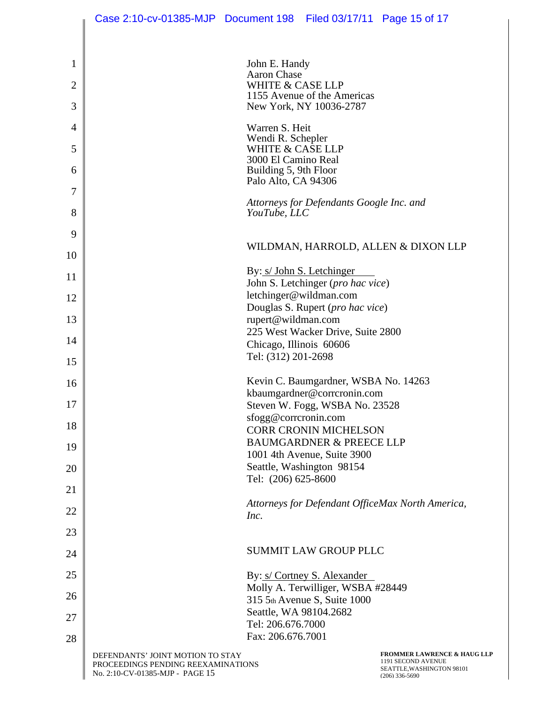|                | Case 2:10-cv-01385-MJP Document 198 Filed 03/17/11 Page 15 of 17                                          |                                                    |                                                                     |                                                                                                               |
|----------------|-----------------------------------------------------------------------------------------------------------|----------------------------------------------------|---------------------------------------------------------------------|---------------------------------------------------------------------------------------------------------------|
|                |                                                                                                           |                                                    |                                                                     |                                                                                                               |
| $\mathbf{1}$   |                                                                                                           | John E. Handy<br><b>Aaron Chase</b>                |                                                                     |                                                                                                               |
| $\overline{2}$ |                                                                                                           | <b>WHITE &amp; CASE LLP</b>                        | 1155 Avenue of the Americas                                         |                                                                                                               |
| 3              |                                                                                                           |                                                    | New York, NY 10036-2787                                             |                                                                                                               |
| 4              |                                                                                                           | Warren S. Heit<br>Wendi R. Schepler                |                                                                     |                                                                                                               |
| 5              |                                                                                                           | <b>WHITE &amp; CASE LLP</b><br>3000 El Camino Real |                                                                     |                                                                                                               |
| 6              |                                                                                                           | Building 5, 9th Floor<br>Palo Alto, CA 94306       |                                                                     |                                                                                                               |
| 7              |                                                                                                           |                                                    | Attorneys for Defendants Google Inc. and                            |                                                                                                               |
| 8              |                                                                                                           | YouTube, LLC                                       |                                                                     |                                                                                                               |
| 9              |                                                                                                           |                                                    |                                                                     |                                                                                                               |
| 10             |                                                                                                           |                                                    |                                                                     | WILDMAN, HARROLD, ALLEN & DIXON LLP                                                                           |
| 11             |                                                                                                           |                                                    | By: s/ John S. Letchinger<br>John S. Letchinger (pro hac vice)      |                                                                                                               |
| 12             |                                                                                                           |                                                    | letchinger@wildman.com                                              |                                                                                                               |
| 13             |                                                                                                           | rupert@wildman.com                                 | Douglas S. Rupert (pro hac vice)                                    |                                                                                                               |
|                |                                                                                                           |                                                    | 225 West Wacker Drive, Suite 2800                                   |                                                                                                               |
| 14             |                                                                                                           | Chicago, Illinois 60606<br>Tel: (312) 201-2698     |                                                                     |                                                                                                               |
| 15             |                                                                                                           |                                                    |                                                                     |                                                                                                               |
| 16             |                                                                                                           |                                                    | Kevin C. Baumgardner, WSBA No. 14263<br>kbaumgardner@corrcronin.com |                                                                                                               |
| 17             |                                                                                                           |                                                    | Steven W. Fogg, WSBA No. 23528                                      |                                                                                                               |
| 18             |                                                                                                           | sfogg@corrcronin.com                               | <b>CORR CRONIN MICHELSON</b>                                        |                                                                                                               |
| 19             |                                                                                                           |                                                    | <b>BAUMGARDNER &amp; PREECE LLP</b>                                 |                                                                                                               |
| 20             |                                                                                                           |                                                    | 1001 4th Avenue, Suite 3900<br>Seattle, Washington 98154            |                                                                                                               |
| 21             |                                                                                                           | Tel: (206) 625-8600                                |                                                                     |                                                                                                               |
| 22             |                                                                                                           |                                                    |                                                                     | Attorneys for Defendant OfficeMax North America,                                                              |
| 23             |                                                                                                           | Inc.                                               |                                                                     |                                                                                                               |
|                |                                                                                                           |                                                    | <b>SUMMIT LAW GROUP PLLC</b>                                        |                                                                                                               |
| 24             |                                                                                                           |                                                    |                                                                     |                                                                                                               |
| 25             |                                                                                                           |                                                    | By: s/ Cortney S. Alexander<br>Molly A. Terwilliger, WSBA #28449    |                                                                                                               |
| 26             |                                                                                                           |                                                    | 315 5th Avenue S, Suite 1000                                        |                                                                                                               |
| 27             |                                                                                                           | Seattle, WA 98104.2682<br>Tel: 206.676.7000        |                                                                     |                                                                                                               |
| 28             |                                                                                                           | Fax: 206.676.7001                                  |                                                                     |                                                                                                               |
|                | DEFENDANTS' JOINT MOTION TO STAY<br>PROCEEDINGS PENDING REEXAMINATIONS<br>No. 2:10-CV-01385-MJP - PAGE 15 |                                                    |                                                                     | <b>FROMMER LAWRENCE &amp; HAUG LLP</b><br>1191 SECOND AVENUE<br>SEATTLE, WASHINGTON 98101<br>$(206)$ 336-5690 |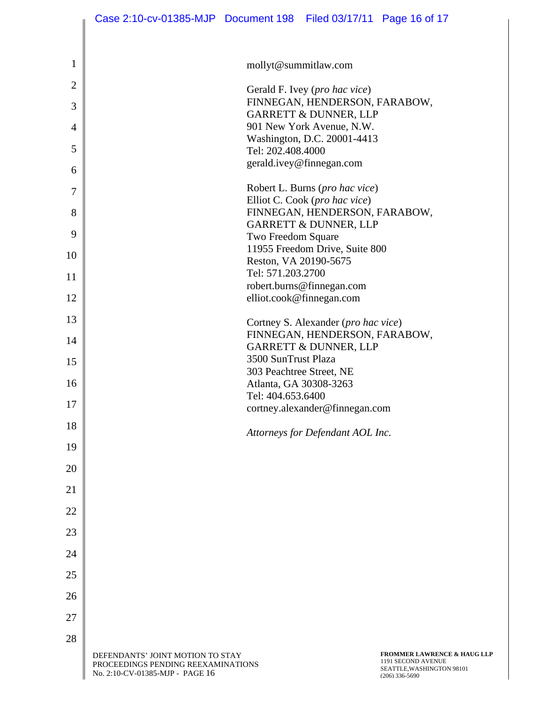|                | Case 2:10-cv-01385-MJP  Document 198  Filed 03/17/11  Page 16 of 17                                       |                                                 |                                                                      |                                                                                                    |  |
|----------------|-----------------------------------------------------------------------------------------------------------|-------------------------------------------------|----------------------------------------------------------------------|----------------------------------------------------------------------------------------------------|--|
|                |                                                                                                           |                                                 |                                                                      |                                                                                                    |  |
| 1              | mollyt@summitlaw.com                                                                                      |                                                 |                                                                      |                                                                                                    |  |
| $\overline{2}$ |                                                                                                           |                                                 | Gerald F. Ivey (pro hac vice)                                        |                                                                                                    |  |
| 3              |                                                                                                           |                                                 | FINNEGAN, HENDERSON, FARABOW,<br><b>GARRETT &amp; DUNNER, LLP</b>    |                                                                                                    |  |
| 4              |                                                                                                           |                                                 | 901 New York Avenue, N.W.<br>Washington, D.C. 20001-4413             |                                                                                                    |  |
| 5              |                                                                                                           | Tel: 202.408.4000                               | gerald.ivey@finnegan.com                                             |                                                                                                    |  |
| 6              |                                                                                                           |                                                 |                                                                      |                                                                                                    |  |
| $\tau$         |                                                                                                           |                                                 | Robert L. Burns (pro hac vice)<br>Elliot C. Cook (pro hac vice)      |                                                                                                    |  |
| 8              |                                                                                                           |                                                 | FINNEGAN, HENDERSON, FARABOW,<br><b>GARRETT &amp; DUNNER, LLP</b>    |                                                                                                    |  |
| 9              |                                                                                                           | Two Freedom Square                              | 11955 Freedom Drive, Suite 800                                       |                                                                                                    |  |
| 10             |                                                                                                           | Reston, VA 20190-5675<br>Tel: 571.203.2700      |                                                                      |                                                                                                    |  |
| 11             |                                                                                                           |                                                 | robert.burns@finnegan.com                                            |                                                                                                    |  |
| 12             |                                                                                                           |                                                 | elliot.cook@finnegan.com                                             |                                                                                                    |  |
| 13             |                                                                                                           |                                                 | Cortney S. Alexander (pro hac vice)<br>FINNEGAN, HENDERSON, FARABOW, |                                                                                                    |  |
| 14             |                                                                                                           |                                                 | <b>GARRETT &amp; DUNNER, LLP</b>                                     |                                                                                                    |  |
| 15             |                                                                                                           | 3500 SunTrust Plaza<br>303 Peachtree Street, NE |                                                                      |                                                                                                    |  |
| 16             |                                                                                                           | Atlanta, GA 30308-3263<br>Tel: 404.653.6400     |                                                                      |                                                                                                    |  |
| 17             |                                                                                                           |                                                 | cortney.alexander@finnegan.com                                       |                                                                                                    |  |
| 18             |                                                                                                           |                                                 | Attorneys for Defendant AOL Inc.                                     |                                                                                                    |  |
| 19             |                                                                                                           |                                                 |                                                                      |                                                                                                    |  |
| 20             |                                                                                                           |                                                 |                                                                      |                                                                                                    |  |
| 21             |                                                                                                           |                                                 |                                                                      |                                                                                                    |  |
| 22             |                                                                                                           |                                                 |                                                                      |                                                                                                    |  |
| 23             |                                                                                                           |                                                 |                                                                      |                                                                                                    |  |
| 24             |                                                                                                           |                                                 |                                                                      |                                                                                                    |  |
| 25             |                                                                                                           |                                                 |                                                                      |                                                                                                    |  |
| 26             |                                                                                                           |                                                 |                                                                      |                                                                                                    |  |
| 27             |                                                                                                           |                                                 |                                                                      |                                                                                                    |  |
| 28             |                                                                                                           |                                                 |                                                                      |                                                                                                    |  |
|                | DEFENDANTS' JOINT MOTION TO STAY<br>PROCEEDINGS PENDING REEXAMINATIONS<br>No. 2:10-CV-01385-MJP - PAGE 16 |                                                 |                                                                      | FROMMER LAWRENCE & HAUG LLP<br>1191 SECOND AVENUE<br>SEATTLE, WASHINGTON 98101<br>$(206)$ 336-5690 |  |